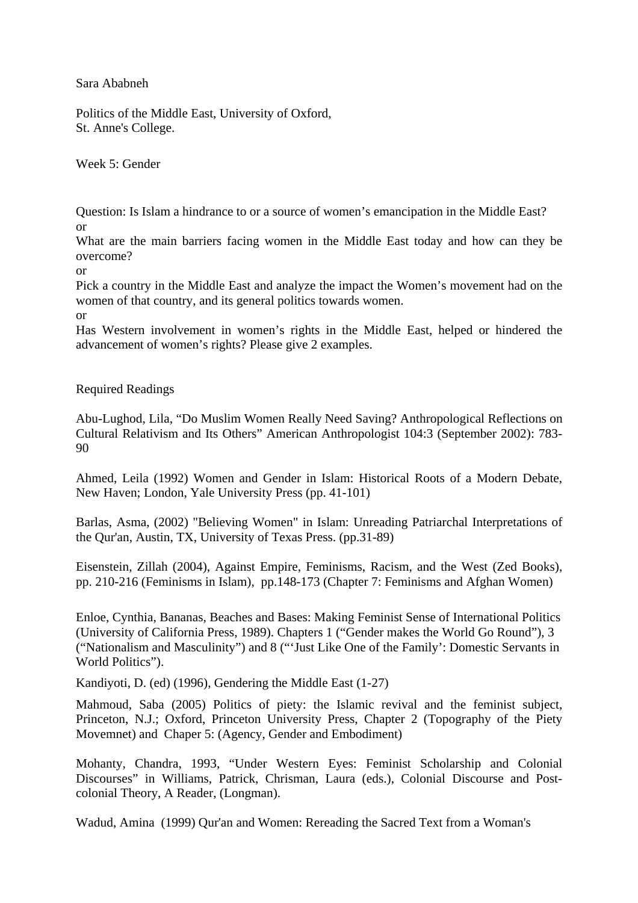Sara Ababneh

Politics of the Middle East, University of Oxford, St. Anne's College.

Week 5: Gender

Question: Is Islam a hindrance to or a source of women's emancipation in the Middle East? or

What are the main barriers facing women in the Middle East today and how can they be overcome?

or

Pick a country in the Middle East and analyze the impact the Women's movement had on the women of that country, and its general politics towards women.

or

Has Western involvement in women's rights in the Middle East, helped or hindered the advancement of women's rights? Please give 2 examples.

Required Readings

Abu-Lughod, Lila, "Do Muslim Women Really Need Saving? Anthropological Reflections on Cultural Relativism and Its Others" American Anthropologist 104:3 (September 2002): 783- 90

Ahmed, Leila (1992) Women and Gender in Islam: Historical Roots of a Modern Debate, New Haven; London, Yale University Press (pp. 41-101)

Barlas, Asma, (2002) "Believing Women" in Islam: Unreading Patriarchal Interpretations of the Qur'an, Austin, TX, University of Texas Press. (pp.31-89)

Eisenstein, Zillah (2004), Against Empire, Feminisms, Racism, and the West (Zed Books), pp. 210-216 (Feminisms in Islam), pp.148-173 (Chapter 7: Feminisms and Afghan Women)

Enloe, Cynthia, Bananas, Beaches and Bases: Making Feminist Sense of International Politics (University of California Press, 1989). Chapters 1 ("Gender makes the World Go Round"), 3 ("Nationalism and Masculinity") and 8 ("'Just Like One of the Family': Domestic Servants in World Politics").

Kandiyoti, D. (ed) (1996), Gendering the Middle East (1-27)

Mahmoud, Saba (2005) Politics of piety: the Islamic revival and the feminist subject, Princeton, N.J.; Oxford, Princeton University Press, Chapter 2 (Topography of the Piety Movemnet) and Chaper 5: (Agency, Gender and Embodiment)

Mohanty, Chandra, 1993, "Under Western Eyes: Feminist Scholarship and Colonial Discourses" in Williams, Patrick, Chrisman, Laura (eds.), Colonial Discourse and Postcolonial Theory, A Reader, (Longman).

Wadud, Amina (1999) Qur'an and Women: Rereading the Sacred Text from a Woman's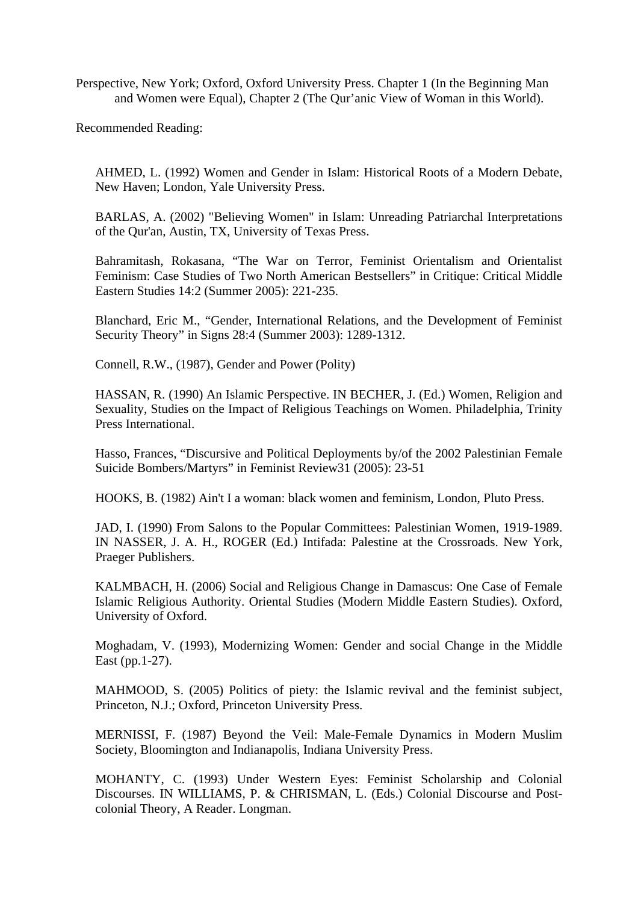Perspective, New York; Oxford, Oxford University Press. Chapter 1 (In the Beginning Man and Women were Equal), Chapter 2 (The Qur'anic View of Woman in this World).

Recommended Reading:

AHMED, L. (1992) Women and Gender in Islam: Historical Roots of a Modern Debate, New Haven; London, Yale University Press.

BARLAS, A. (2002) "Believing Women" in Islam: Unreading Patriarchal Interpretations of the Qur'an, Austin, TX, University of Texas Press.

Bahramitash, Rokasana, "The War on Terror, Feminist Orientalism and Orientalist Feminism: Case Studies of Two North American Bestsellers" in Critique: Critical Middle Eastern Studies 14:2 (Summer 2005): 221-235.

Blanchard, Eric M., "Gender, International Relations, and the Development of Feminist Security Theory" in Signs 28:4 (Summer 2003): 1289-1312.

Connell, R.W., (1987), Gender and Power (Polity)

HASSAN, R. (1990) An Islamic Perspective. IN BECHER, J. (Ed.) Women, Religion and Sexuality, Studies on the Impact of Religious Teachings on Women. Philadelphia, Trinity Press International.

Hasso, Frances, "Discursive and Political Deployments by/of the 2002 Palestinian Female Suicide Bombers/Martyrs" in Feminist Review31 (2005): 23-51

HOOKS, B. (1982) Ain't I a woman: black women and feminism, London, Pluto Press.

JAD, I. (1990) From Salons to the Popular Committees: Palestinian Women, 1919-1989. IN NASSER, J. A. H., ROGER (Ed.) Intifada: Palestine at the Crossroads. New York, Praeger Publishers.

KALMBACH, H. (2006) Social and Religious Change in Damascus: One Case of Female Islamic Religious Authority. Oriental Studies (Modern Middle Eastern Studies). Oxford, University of Oxford.

Moghadam, V. (1993), Modernizing Women: Gender and social Change in the Middle East (pp.1-27).

MAHMOOD, S. (2005) Politics of piety: the Islamic revival and the feminist subject, Princeton, N.J.; Oxford, Princeton University Press.

MERNISSI, F. (1987) Beyond the Veil: Male-Female Dynamics in Modern Muslim Society, Bloomington and Indianapolis, Indiana University Press.

MOHANTY, C. (1993) Under Western Eyes: Feminist Scholarship and Colonial Discourses. IN WILLIAMS, P. & CHRISMAN, L. (Eds.) Colonial Discourse and Postcolonial Theory, A Reader. Longman.